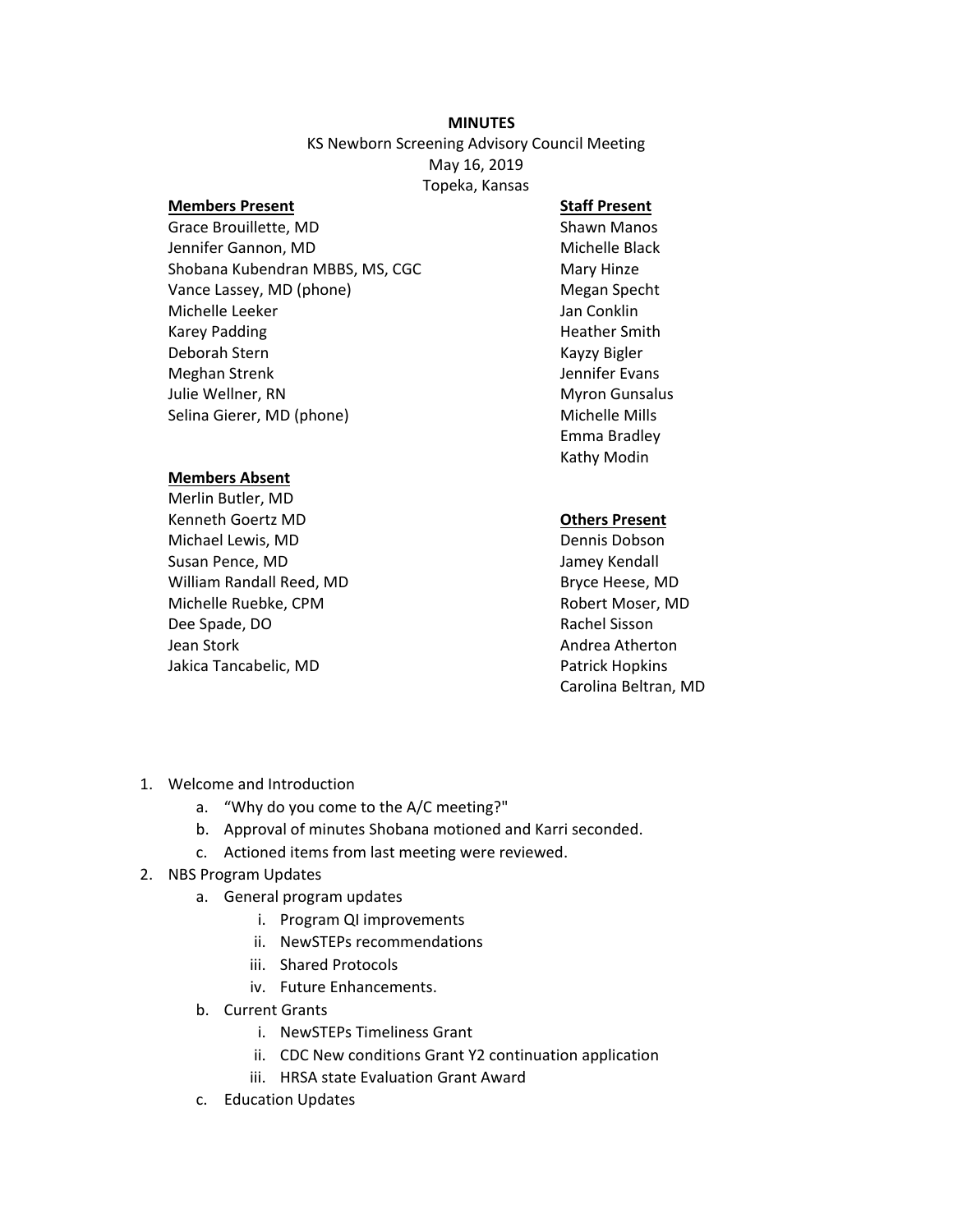## **MINUTES**

KS Newborn Screening Advisory Council Meeting May 16, 2019 Topeka, Kansas

#### **Members Present**

Grace Brouillette, MD Jennifer Gannon, MD Shobana Kubendran MBBS, MS, CGC Vance Lassey, MD (phone) Michelle Leeker Karey Padding Deborah Stern Meghan Strenk Julie Wellner, RN Selina Gierer, MD (phone)

### **Members Absent**

Merlin Butler, MD Kenneth Goertz MD Michael Lewis, MD Susan Pence, MD William Randall Reed, MD Michelle Ruebke, CPM Dee Spade, DO Jean Stork Jakica Tancabelic, MD

# **Staff Present**

Shawn Manos Michelle Black Mary Hinze Megan Specht Jan Conklin Heather Smith Kayzy Bigler Jennifer Evans Myron Gunsalus Michelle Mills Emma Bradley Kathy Modin

## **Others Present**

Dennis Dobson Jamey Kendall Bryce Heese, MD Robert Moser, MD Rachel Sisson Andrea Atherton Patrick Hopkins Carolina Beltran, MD

- 1. Welcome and Introduction
	- a. "Why do you come to the A/C meeting?"
	- b. Approval of minutes Shobana motioned and Karri seconded.
	- c. Actioned items from last meeting were reviewed.
- 2. NBS Program Updates
	- a. General program updates
		- i. Program QI improvements
		- ii. NewSTEPs recommendations
		- iii. Shared Protocols
		- iv. Future Enhancements.
	- b. Current Grants
		- i. NewSTEPs Timeliness Grant
		- ii. CDC New conditions Grant Y2 continuation application
		- iii. HRSA state Evaluation Grant Award
	- c. Education Updates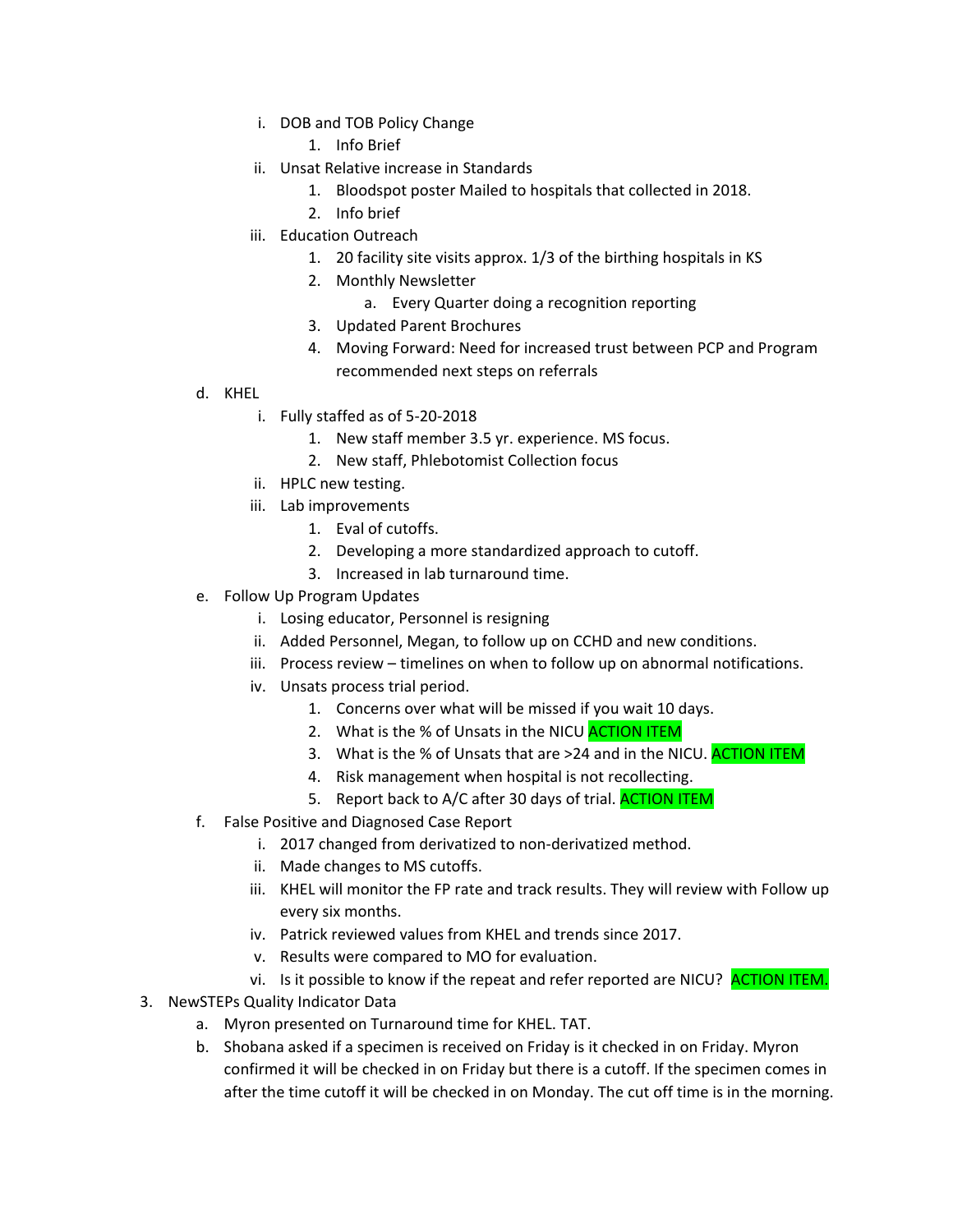i. DOB and TOB Policy Change

1. Info Brief

- ii. Unsat Relative increase in Standards
	- 1. Bloodspot poster Mailed to hospitals that collected in 2018.
	- 2. Info brief
- iii. Education Outreach
	- 1. 20 facility site visits approx. 1/3 of the birthing hospitals in KS
	- 2. Monthly Newsletter
		- a. Every Quarter doing a recognition reporting
	- 3. Updated Parent Brochures
	- 4. Moving Forward: Need for increased trust between PCP and Program recommended next steps on referrals
- d. KHEL
	- i. Fully staffed as of 5-20-2018
		- 1. New staff member 3.5 yr. experience. MS focus.
		- 2. New staff, Phlebotomist Collection focus
	- ii. HPLC new testing.
	- iii. Lab improvements
		- 1. Eval of cutoffs.
		- 2. Developing a more standardized approach to cutoff.
		- 3. Increased in lab turnaround time.
- e. Follow Up Program Updates
	- i. Losing educator, Personnel is resigning
	- ii. Added Personnel, Megan, to follow up on CCHD and new conditions.
	- iii. Process review timelines on when to follow up on abnormal notifications.
	- iv. Unsats process trial period.
		- 1. Concerns over what will be missed if you wait 10 days.
		- 2. What is the % of Unsats in the NICU **ACTION ITEM**
		- 3. What is the % of Unsats that are >24 and in the NICU. **ACTION ITEM**
		- 4. Risk management when hospital is not recollecting.
		- 5. Report back to A/C after 30 days of trial. **ACTION ITEM**
- f. False Positive and Diagnosed Case Report
	- i. 2017 changed from derivatized to non-derivatized method.
	- ii. Made changes to MS cutoffs.
	- iii. KHEL will monitor the FP rate and track results. They will review with Follow up every six months.
	- iv. Patrick reviewed values from KHEL and trends since 2017.
	- v. Results were compared to MO for evaluation.
	- vi. Is it possible to know if the repeat and refer reported are NICU? ACTION ITEM.
- 3. NewSTEPs Quality Indicator Data
	- a. Myron presented on Turnaround time for KHEL. TAT.
	- b. Shobana asked if a specimen is received on Friday is it checked in on Friday. Myron confirmed it will be checked in on Friday but there is a cutoff. If the specimen comes in after the time cutoff it will be checked in on Monday. The cut off time is in the morning.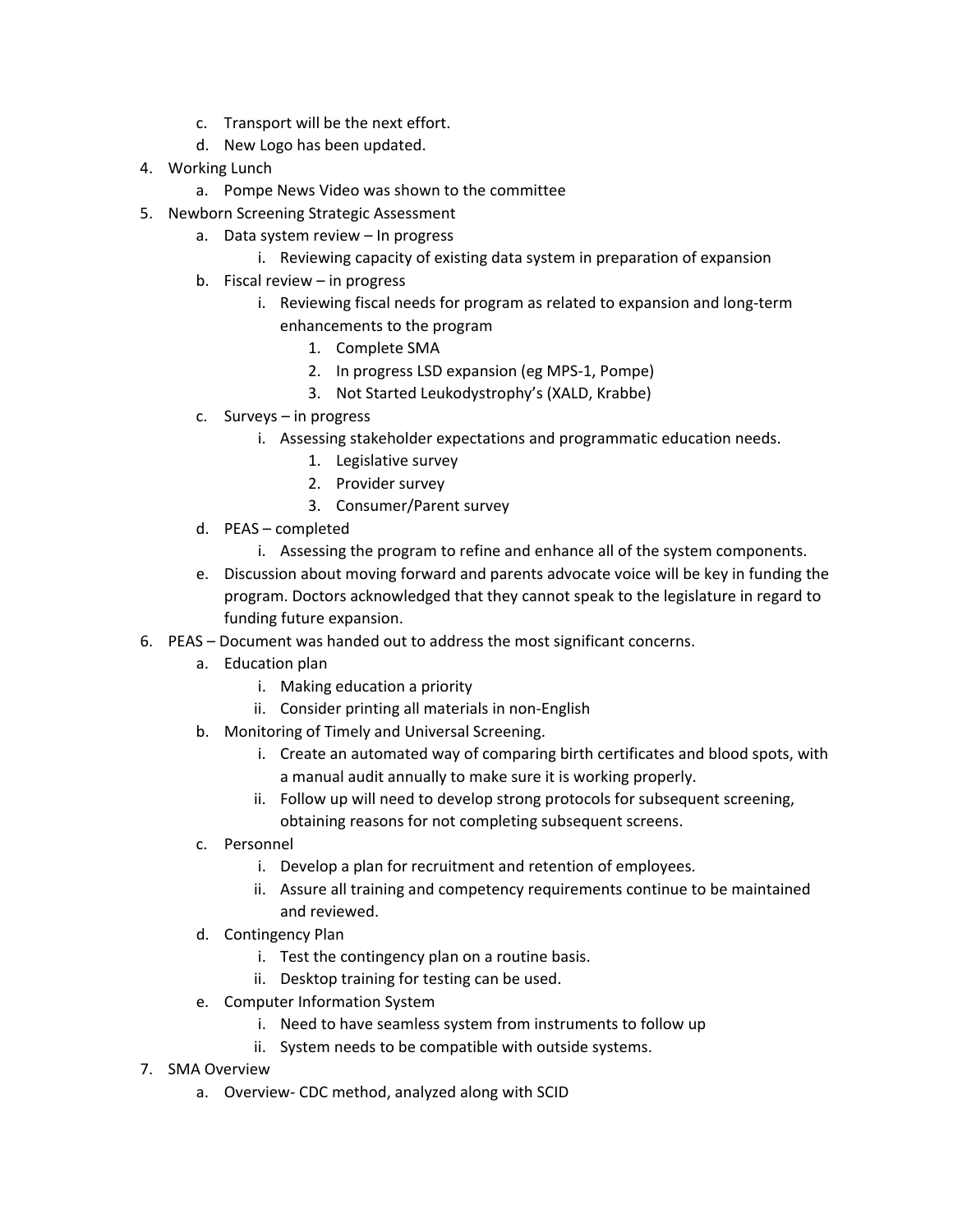- c. Transport will be the next effort.
- d. New Logo has been updated.
- 4. Working Lunch
	- a. Pompe News Video was shown to the committee
- 5. Newborn Screening Strategic Assessment
	- a. Data system review In progress
		- i. Reviewing capacity of existing data system in preparation of expansion
	- b. Fiscal review in progress
		- i. Reviewing fiscal needs for program as related to expansion and long-term enhancements to the program
			- 1. Complete SMA
			- 2. In progress LSD expansion (eg MPS-1, Pompe)
			- 3. Not Started Leukodystrophy's (XALD, Krabbe)
	- c. Surveys in progress
		- i. Assessing stakeholder expectations and programmatic education needs.
			- 1. Legislative survey
			- 2. Provider survey
			- 3. Consumer/Parent survey
	- d. PEAS completed
		- i. Assessing the program to refine and enhance all of the system components.
	- e. Discussion about moving forward and parents advocate voice will be key in funding the program. Doctors acknowledged that they cannot speak to the legislature in regard to funding future expansion.
- 6. PEAS Document was handed out to address the most significant concerns.
	- a. Education plan
		- i. Making education a priority
		- ii. Consider printing all materials in non-English
	- b. Monitoring of Timely and Universal Screening.
		- i. Create an automated way of comparing birth certificates and blood spots, with a manual audit annually to make sure it is working properly.
		- ii. Follow up will need to develop strong protocols for subsequent screening, obtaining reasons for not completing subsequent screens.
	- c. Personnel
		- i. Develop a plan for recruitment and retention of employees.
		- ii. Assure all training and competency requirements continue to be maintained and reviewed.
	- d. Contingency Plan
		- i. Test the contingency plan on a routine basis.
		- ii. Desktop training for testing can be used.
	- e. Computer Information System
		- i. Need to have seamless system from instruments to follow up
		- ii. System needs to be compatible with outside systems.
- 7. SMA Overview
	- a. Overview- CDC method, analyzed along with SCID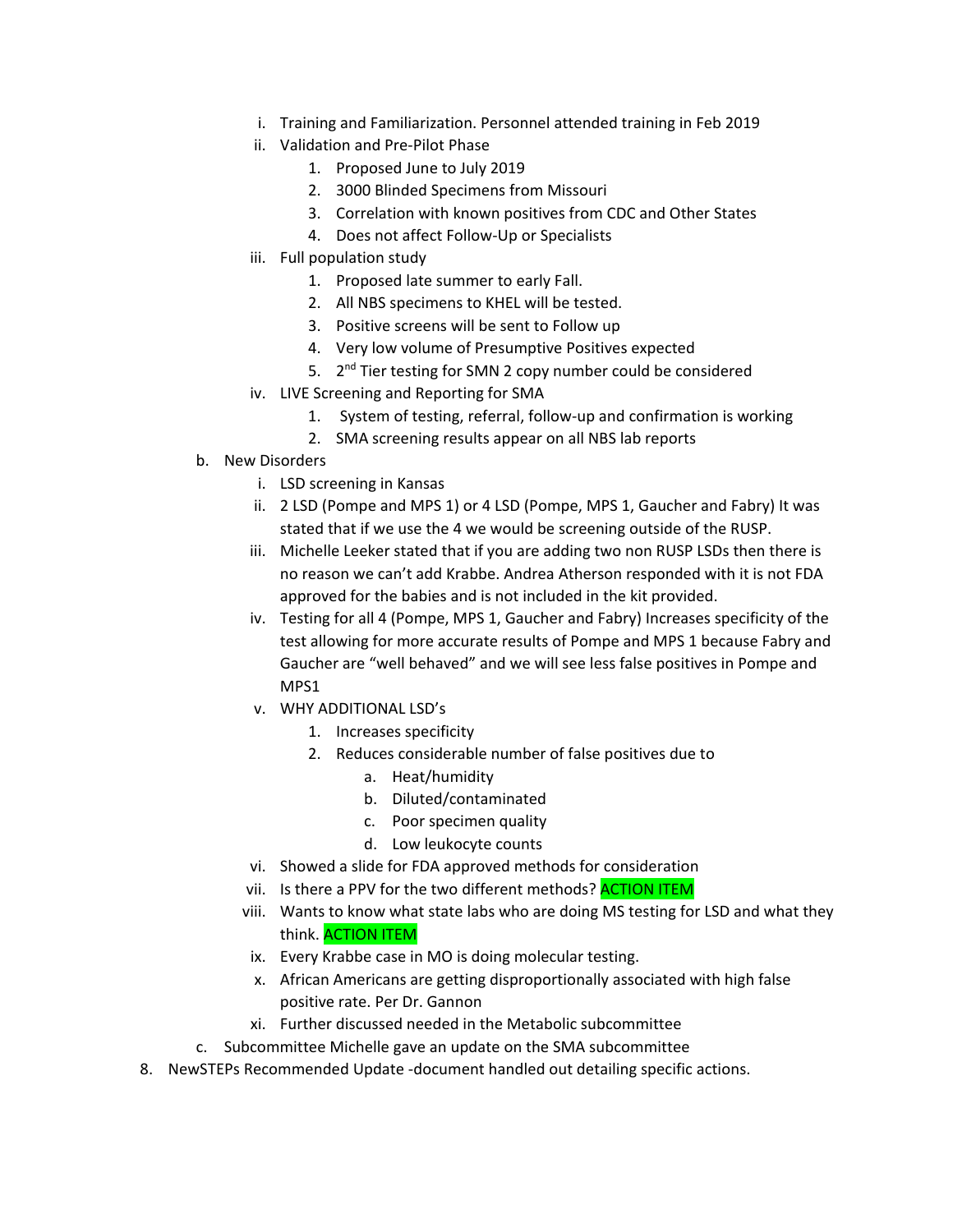- i. Training and Familiarization. Personnel attended training in Feb 2019
- ii. Validation and Pre-Pilot Phase
	- 1. Proposed June to July 2019
	- 2. 3000 Blinded Specimens from Missouri
	- 3. Correlation with known positives from CDC and Other States
	- 4. Does not affect Follow-Up or Specialists
- iii. Full population study
	- 1. Proposed late summer to early Fall.
	- 2. All NBS specimens to KHEL will be tested.
	- 3. Positive screens will be sent to Follow up
	- 4. Very low volume of Presumptive Positives expected
	- 5. 2<sup>nd</sup> Tier testing for SMN 2 copy number could be considered
- iv. LIVE Screening and Reporting for SMA
	- 1. System of testing, referral, follow-up and confirmation is working
	- 2. SMA screening results appear on all NBS lab reports
- b. New Disorders
	- i. LSD screening in Kansas
	- ii. 2 LSD (Pompe and MPS 1) or 4 LSD (Pompe, MPS 1, Gaucher and Fabry) It was stated that if we use the 4 we would be screening outside of the RUSP.
	- iii. Michelle Leeker stated that if you are adding two non RUSP LSDs then there is no reason we can't add Krabbe. Andrea Atherson responded with it is not FDA approved for the babies and is not included in the kit provided.
	- iv. Testing for all 4 (Pompe, MPS 1, Gaucher and Fabry) Increases specificity of the test allowing for more accurate results of Pompe and MPS 1 because Fabry and Gaucher are "well behaved" and we will see less false positives in Pompe and MPS1
	- v. WHY ADDITIONAL LSD's
		- 1. Increases specificity
		- 2. Reduces considerable number of false positives due to
			- a. Heat/humidity
			- b. Diluted/contaminated
			- c. Poor specimen quality
			- d. Low leukocyte counts
	- vi. Showed a slide for FDA approved methods for consideration
	- vii. Is there a PPV for the two different methods? ACTION ITEM
	- viii. Wants to know what state labs who are doing MS testing for LSD and what they think. ACTION ITEM
	- ix. Every Krabbe case in MO is doing molecular testing.
	- x. African Americans are getting disproportionally associated with high false positive rate. Per Dr. Gannon
	- xi. Further discussed needed in the Metabolic subcommittee
- c. Subcommittee Michelle gave an update on the SMA subcommittee
- 8. NewSTEPs Recommended Update -document handled out detailing specific actions.